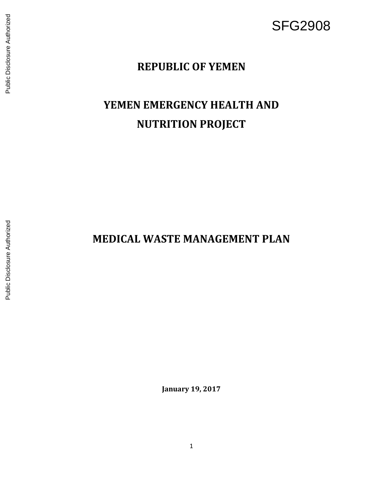## SFG2908

## **REPUBLIC OF YEMEN**

# **YEMEN EMERGENCY HEALTH AND NUTRITION PROJECT**

## **MEDICAL WASTE MANAGEMENT PLAN**

**January 1 9, 2017**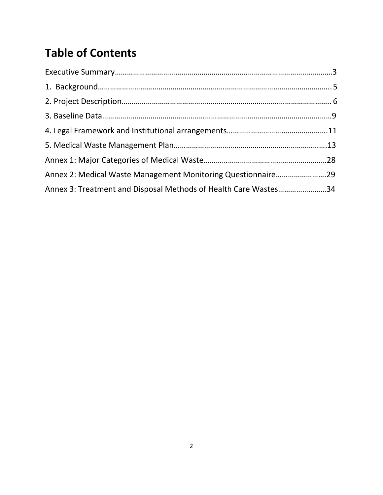## **Table of Contents**

| Annex 2: Medical Waste Management Monitoring Questionnaire29    |  |
|-----------------------------------------------------------------|--|
| Annex 3: Treatment and Disposal Methods of Health Care Wastes34 |  |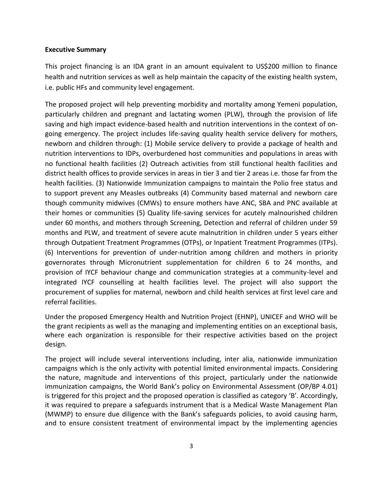#### <span id="page-2-0"></span>**Executive Summary**

This project financing is an IDA grant in an amount equivalent to US\$200 million to finance health and nutrition services as well as help maintain the capacity of the existing health system, i.e. public HFs and community level engagement.

The proposed project will help preventing morbidity and mortality among Yemeni population, particularly children and pregnant and lactating women (PLW), through the provision of life saving and high impact evidence-based health and nutrition interventions in the context of ongoing emergency. The project includes life-saving quality health service delivery for mothers, newborn and children through: (1) Mobile service delivery to provide a package of health and nutrition interventions to IDPs, overburdened host communities and populations in areas with no functional health facilities (2) Outreach activities from still functional health facilities and district health offices to provide services in areas in tier 3 and tier 2 areas i.e. those far from the health facilities. (3) Nationwide Immunization campaigns to maintain the Polio free status and to support prevent any Measles outbreaks (4) Community based maternal and newborn care though community midwives (CMWs) to ensure mothers have ANC, SBA and PNC available at their homes or communities (5) Quality life-saving services for acutely malnourished children under 60 months, and mothers through Screening, Detection and referral of children under 59 months and PLW, and treatment of severe acute malnutrition in children under 5 years either through Outpatient Treatment Programmes (OTPs), or Inpatient Treatment Programmes (ITPs). (6) Interventions for prevention of under-nutrition among children and mothers in priority governorates through Micronutrient supplementation for children 6 to 24 months, and provision of IYCF behaviour change and communication strategies at a community-level and integrated IYCF counselling at health facilities level. The project will also support the procurement of supplies for maternal, newborn and child health services at first level care and referral facilities.

Under the proposed Emergency Health and Nutrition Project (EHNP), UNICEF and WHO will be the grant recipients as well as the managing and implementing entities on an exceptional basis, where each organization is responsible for their respective activities based on the project design.

The project will include several interventions including, inter alia, nationwide immunization campaigns which is the only activity with potential limited environmental impacts. Considering the nature, magnitude and interventions of this project, particularly under the nationwide immunization campaigns, the World Bank's policy on Environmental Assessment (OP/BP 4.01) is triggered for this project and the proposed operation is classified as category 'B'. Accordingly, it was required to prepare a safeguards instrument that is a Medical Waste Management Plan (MWMP) to ensure due diligence with the Bank's safeguards policies, to avoid causing harm, and to ensure consistent treatment of environmental impact by the implementing agencies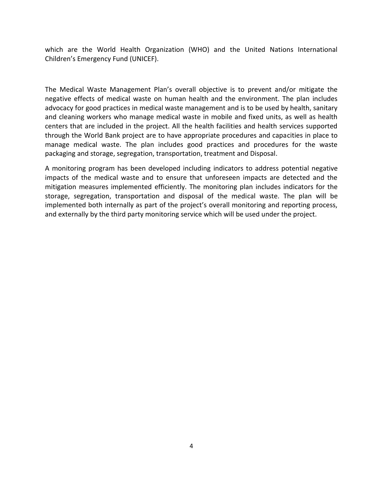which are the World Health Organization (WHO) and the United Nations International Children's Emergency Fund (UNICEF).

The Medical Waste Management Plan's overall objective is to prevent and/or mitigate the negative effects of medical waste on human health and the environment. The plan includes advocacy for good practices in medical waste management and is to be used by health, sanitary and cleaning workers who manage medical waste in mobile and fixed units, as well as health centers that are included in the project. All the health facilities and health services supported through the World Bank project are to have appropriate procedures and capacities in place to manage medical waste. The plan includes good practices and procedures for the waste packaging and storage, segregation, transportation, treatment and Disposal.

A monitoring program has been developed including indicators to address potential negative impacts of the medical waste and to ensure that unforeseen impacts are detected and the mitigation measures implemented efficiently. The monitoring plan includes indicators for the storage, segregation, transportation and disposal of the medical waste. The plan will be implemented both internally as part of the project's overall monitoring and reporting process, and externally by the third party monitoring service which will be used under the project.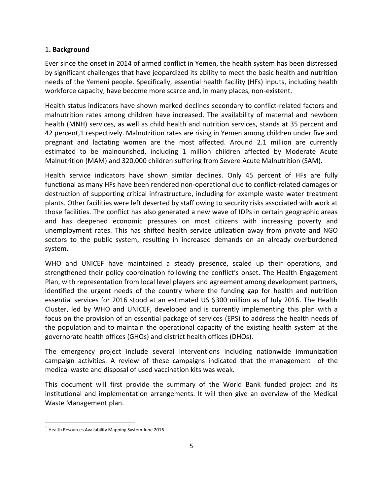## 1**. Background**

Ever since the onset in 2014 of armed conflict in Yemen, the health system has been distressed by significant challenges that have jeopardized its ability to meet the basic health and nutrition needs of the Yemeni people. Specifically, essential health facility (HFs) inputs, including health workforce capacity, have become more scarce and, in many places, non-existent.

Health status indicators have shown marked declines secondary to conflict-related factors and malnutrition rates among children have increased. The availability of maternal and newborn health (MNH) services, as well as child health and nutrition services, stands at 35 percent and 42 percent,1 respectively. Malnutrition rates are rising in Yemen among children under five and pregnant and lactating women are the most affected. Around 2.1 million are currently estimated to be malnourished, including 1 million children affected by Moderate Acute Malnutrition (MAM) and 320,000 children suffering from Severe Acute Malnutrition (SAM).

Health service indicators have shown similar declines. Only 45 percent of HFs are fully functional as many HFs have been rendered non-operational due to conflict-related damages or destruction of supporting critical infrastructure, including for example waste water treatment plants. Other facilities were left deserted by staff owing to security risks associated with work at those facilities. The conflict has also generated a new wave of IDPs in certain geographic areas and has deepened economic pressures on most citizens with increasing poverty and unemployment rates. This has shifted health service utilization away from private and NGO sectors to the public system, resulting in increased demands on an already overburdened system.

WHO and UNICEF have maintained a steady presence, scaled up their operations, and strengthened their policy coordination following the conflict's onset. The Health Engagement Plan, with representation from local level players and agreement among development partners, identified the urgent needs of the country where the funding gap for health and nutrition essential services for 2016 stood at an estimated US \$300 million as of July 2016. The Health Cluster, led by WHO and UNICEF, developed and is currently implementing this plan with a focus on the provision of an essential package of services (EPS) to address the health needs of the population and to maintain the operational capacity of the existing health system at the governorate health offices (GHOs) and district health offices (DHOs).

The emergency project include several interventions including nationwide immunization campaign activities. A review of these campaigns indicated that the management of the medical waste and disposal of used vaccination kits was weak.

This document will first provide the summary of the World Bank funded project and its institutional and implementation arrangements. It will then give an overview of the Medical Waste Management plan.

l

 $^{\rm 1}$  Health Resources Availability Mapping System June 2016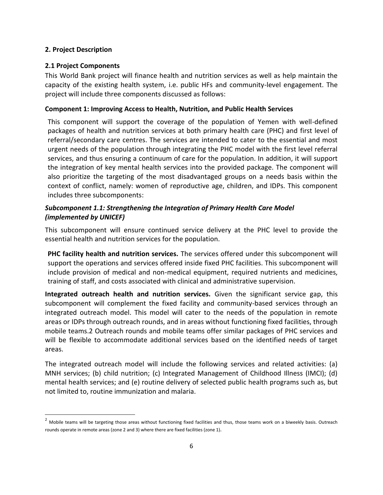## <span id="page-5-0"></span>**2. Project Description**

 $\overline{\phantom{a}}$ 

## **2.1 Project Components**

This World Bank project will finance health and nutrition services as well as help maintain the capacity of the existing health system, i.e. public HFs and community-level engagement. The project will include three components discussed as follows:

## **Component 1: Improving Access to Health, Nutrition, and Public Health Services**

This component will support the coverage of the population of Yemen with well-defined packages of health and nutrition services at both primary health care (PHC) and first level of referral/secondary care centres. The services are intended to cater to the essential and most urgent needs of the population through integrating the PHC model with the first level referral services, and thus ensuring a continuum of care for the population. In addition, it will support the integration of key mental health services into the provided package. The component will also prioritize the targeting of the most disadvantaged groups on a needs basis within the context of conflict, namely: women of reproductive age, children, and IDPs. This component includes three subcomponents:

## *Subcomponent 1.1: Strengthening the Integration of Primary Health Care Model (implemented by UNICEF)*

This subcomponent will ensure continued service delivery at the PHC level to provide the essential health and nutrition services for the population.

**PHC facility health and nutrition services.** The services offered under this subcomponent will support the operations and services offered inside fixed PHC facilities. This subcomponent will include provision of medical and non-medical equipment, required nutrients and medicines, training of staff, and costs associated with clinical and administrative supervision.

**Integrated outreach health and nutrition services.** Given the significant service gap, this subcomponent will complement the fixed facility and community-based services through an integrated outreach model. This model will cater to the needs of the population in remote areas or IDPs through outreach rounds, and in areas without functioning fixed facilities, through mobile teams.2 Outreach rounds and mobile teams offer similar packages of PHC services and will be flexible to accommodate additional services based on the identified needs of target areas.

The integrated outreach model will include the following services and related activities: (a) MNH services; (b) child nutrition; (c) Integrated Management of Childhood Illness (IMCI); (d) mental health services; and (e) routine delivery of selected public health programs such as, but not limited to, routine immunization and malaria.

<sup>&</sup>lt;sup>2</sup> Mobile teams will be targeting those areas without functioning fixed facilities and thus, those teams work on a biweekly basis. Outreach rounds operate in remote areas (zone 2 and 3) where there are fixed facilities (zone 1).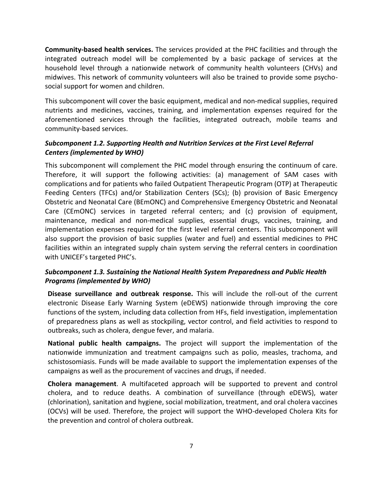**Community-based health services.** The services provided at the PHC facilities and through the integrated outreach model will be complemented by a basic package of services at the household level through a nationwide network of community health volunteers (CHVs) and midwives. This network of community volunteers will also be trained to provide some psychosocial support for women and children.

This subcomponent will cover the basic equipment, medical and non-medical supplies, required nutrients and medicines, vaccines, training, and implementation expenses required for the aforementioned services through the facilities, integrated outreach, mobile teams and community-based services.

## *Subcomponent 1.2. Supporting Health and Nutrition Services at the First Level Referral Centers (implemented by WHO)*

This subcomponent will complement the PHC model through ensuring the continuum of care. Therefore, it will support the following activities: (a) management of SAM cases with complications and for patients who failed Outpatient Therapeutic Program (OTP) at Therapeutic Feeding Centers (TFCs) and/or Stabilization Centers (SCs); (b) provision of Basic Emergency Obstetric and Neonatal Care (BEmONC) and Comprehensive Emergency Obstetric and Neonatal Care (CEmONC) services in targeted referral centers; and (c) provision of equipment, maintenance, medical and non-medical supplies, essential drugs, vaccines, training, and implementation expenses required for the first level referral centers. This subcomponent will also support the provision of basic supplies (water and fuel) and essential medicines to PHC facilities within an integrated supply chain system serving the referral centers in coordination with UNICEF's targeted PHC's.

## *Subcomponent 1.3. Sustaining the National Health System Preparedness and Public Health Programs (implemented by WHO)*

**Disease surveillance and outbreak response.** This will include the roll-out of the current electronic Disease Early Warning System (eDEWS) nationwide through improving the core functions of the system, including data collection from HFs, field investigation, implementation of preparedness plans as well as stockpiling, vector control, and field activities to respond to outbreaks, such as cholera, dengue fever, and malaria.

**National public health campaigns.** The project will support the implementation of the nationwide immunization and treatment campaigns such as polio, measles, trachoma, and schistosomiasis. Funds will be made available to support the implementation expenses of the campaigns as well as the procurement of vaccines and drugs, if needed.

**Cholera management**. A multifaceted approach will be supported to prevent and control cholera, and to reduce deaths. A combination of surveillance (through eDEWS), water (chlorination), sanitation and hygiene, social mobilization, treatment, and oral cholera vaccines (OCVs) will be used. Therefore, the project will support the WHO-developed Cholera Kits for the prevention and control of cholera outbreak.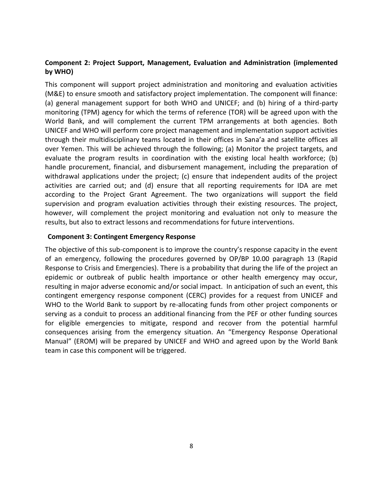## **Component 2: Project Support, Management, Evaluation and Administration (implemented by WHO)**

This component will support project administration and monitoring and evaluation activities (M&E) to ensure smooth and satisfactory project implementation. The component will finance: (a) general management support for both WHO and UNICEF; and (b) hiring of a third-party monitoring (TPM) agency for which the terms of reference (TOR) will be agreed upon with the World Bank, and will complement the current TPM arrangements at both agencies. Both UNICEF and WHO will perform core project management and implementation support activities through their multidisciplinary teams located in their offices in Sana'a and satellite offices all over Yemen. This will be achieved through the following; (a) Monitor the project targets, and evaluate the program results in coordination with the existing local health workforce; (b) handle procurement, financial, and disbursement management, including the preparation of withdrawal applications under the project; (c) ensure that independent audits of the project activities are carried out; and (d) ensure that all reporting requirements for IDA are met according to the Project Grant Agreement. The two organizations will support the field supervision and program evaluation activities through their existing resources. The project, however, will complement the project monitoring and evaluation not only to measure the results, but also to extract lessons and recommendations for future interventions.

#### **Component 3: Contingent Emergency Response**

<span id="page-7-0"></span>The objective of this sub-component is to improve the country's response capacity in the event of an emergency, following the procedures governed by OP/BP 10.00 paragraph 13 (Rapid Response to Crisis and Emergencies). There is a probability that during the life of the project an epidemic or outbreak of public health importance or other health emergency may occur, resulting in major adverse economic and/or social impact. In anticipation of such an event, this contingent emergency response component (CERC) provides for a request from UNICEF and WHO to the World Bank to support by re-allocating funds from other project components or serving as a conduit to process an additional financing from the PEF or other funding sources for eligible emergencies to mitigate, respond and recover from the potential harmful consequences arising from the emergency situation. An "Emergency Response Operational Manual" (EROM) will be prepared by UNICEF and WHO and agreed upon by the World Bank team in case this component will be triggered.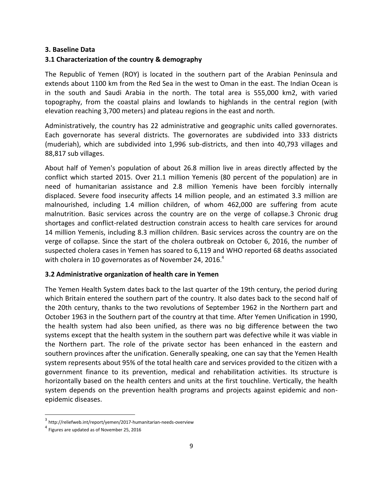#### **3. Baseline Data**

#### **3.1 Characterization of the country & demography**

The Republic of Yemen (ROY) is located in the southern part of the Arabian Peninsula and extends about 1100 km from the Red Sea in the west to Oman in the east. The Indian Ocean is in the south and Saudi Arabia in the north. The total area is 555,000 km2, with varied topography, from the coastal plains and lowlands to highlands in the central region (with elevation reaching 3,700 meters) and plateau regions in the east and north.

Administratively, the country has 22 administrative and geographic units called governorates. Each governorate has several districts. The governorates are subdivided into 333 districts (muderiah), which are subdivided into 1,996 sub-districts, and then into 40,793 villages and 88,817 sub villages.

About half of Yemen's population of about 26.8 million live in areas directly affected by the conflict which started 2015. Over 21.1 million Yemenis (80 percent of the population) are in need of humanitarian assistance and 2.8 million Yemenis have been forcibly internally displaced. Severe food insecurity affects 14 million people, and an estimated 3.3 million are malnourished, including 1.4 million children, of whom 462,000 are suffering from acute malnutrition. Basic services across the country are on the verge of collapse.3 Chronic drug shortages and conflict-related destruction constrain access to health care services for around 14 million Yemenis, including 8.3 million children. Basic services across the country are on the verge of collapse. Since the start of the cholera outbreak on October 6, 2016, the number of suspected cholera cases in Yemen has soared to 6,119 and WHO reported 68 deaths associated with cholera in 10 governorates as of November 24, 2016.<sup>4</sup>

#### **3.2 Administrative organization of health care in Yemen**

The Yemen Health System dates back to the last quarter of the 19th century, the period during which Britain entered the southern part of the country. It also dates back to the second half of the 20th century, thanks to the two revolutions of September 1962 in the Northern part and October 1963 in the Southern part of the country at that time. After Yemen Unification in 1990, the health system had also been unified, as there was no big difference between the two systems except that the health system in the southern part was defective while it was viable in the Northern part. The role of the private sector has been enhanced in the eastern and southern provinces after the unification. Generally speaking, one can say that the Yemen Health system represents about 95% of the total health care and services provided to the citizen with a government finance to its prevention, medical and rehabilitation activities. Its structure is horizontally based on the health centers and units at the first touchline. Vertically, the health system depends on the prevention health programs and projects against epidemic and nonepidemic diseases.

 $\overline{\phantom{a}}$ 

<sup>&</sup>lt;sup>3</sup> <http://reliefweb.int/report/yemen/2017-humanitarian-needs-overview>

<sup>&</sup>lt;sup>4</sup> Figures are updated as of November 25, 2016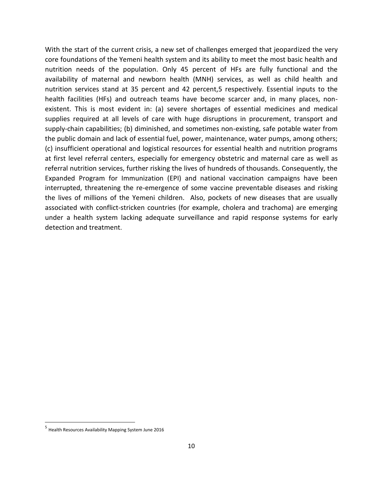With the start of the current crisis, a new set of challenges emerged that jeopardized the very core foundations of the Yemeni health system and its ability to meet the most basic health and nutrition needs of the population. Only 45 percent of HFs are fully functional and the availability of maternal and newborn health (MNH) services, as well as child health and nutrition services stand at 35 percent and 42 percent,5 respectively. Essential inputs to the health facilities (HFs) and outreach teams have become scarcer and, in many places, nonexistent. This is most evident in: (a) severe shortages of essential medicines and medical supplies required at all levels of care with huge disruptions in procurement, transport and supply-chain capabilities; (b) diminished, and sometimes non-existing, safe potable water from the public domain and lack of essential fuel, power, maintenance, water pumps, among others; (c) insufficient operational and logistical resources for essential health and nutrition programs at first level referral centers, especially for emergency obstetric and maternal care as well as referral nutrition services, further risking the lives of hundreds of thousands. Consequently, the Expanded Program for Immunization (EPI) and national vaccination campaigns have been interrupted, threatening the re-emergence of some vaccine preventable diseases and risking the lives of millions of the Yemeni children. Also, pockets of new diseases that are usually associated with conflict-stricken countries (for example, cholera and trachoma) are emerging under a health system lacking adequate surveillance and rapid response systems for early detection and treatment.

l

<sup>&</sup>lt;sup>5</sup> Health Resources Availability Mapping System June 2016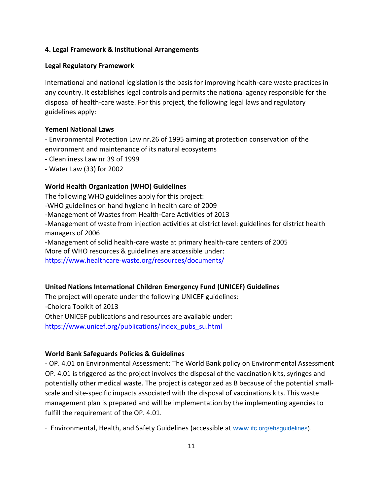### **4. Legal Framework & Institutional Arrangements**

#### **Legal Regulatory Framework**

International and national legislation is the basis for improving health-care waste practices in any country. It establishes legal controls and permits the national agency responsible for the disposal of health-care waste. For this project, the following legal laws and regulatory guidelines apply:

#### **Yemeni National Laws**

- Environmental Protection Law nr.26 of 1995 aiming at protection conservation of the environment and maintenance of its natural ecosystems

- Cleanliness Law nr.39 of 1999
- Water Law (33) for 2002

#### **World Health Organization (WHO) Guidelines**

The following WHO guidelines apply for this project: -WHO guidelines on hand hygiene in health care of 2009 -Management of Wastes from Health-Care Activities of 2013 -Management of waste from injection activities at district level: guidelines for district health managers of 2006 -Management of solid health-care waste at primary health-care centers of 2005 More of WHO resources & guidelines are accessible under: <https://www.healthcare-waste.org/resources/documents/>

#### **United Nations International Children Emergency Fund (UNICEF) Guidelines**

The project will operate under the following UNICEF guidelines: -Cholera Toolkit of 2013 Other UNICEF publications and resources are available under: [https://www.unicef.org/publications/index\\_pubs\\_su.html](https://www.unicef.org/publications/index_pubs_su.html)

## **World Bank Safeguards Policies & Guidelines**

- OP. 4.01 on Environmental Assessment: The World Bank policy on Environmental Assessment OP. 4.01 is triggered as the project involves the disposal of the vaccination kits, syringes and potentially other medical waste. The project is categorized as B because of the potential smallscale and site-specific impacts associated with the disposal of vaccinations kits. This waste management plan is prepared and will be implementation by the implementing agencies to fulfill the requirement of the OP. 4.01.

- Environmental, Health, and Safety Guidelines (accessible at www.ifc.org/ehsguidelines).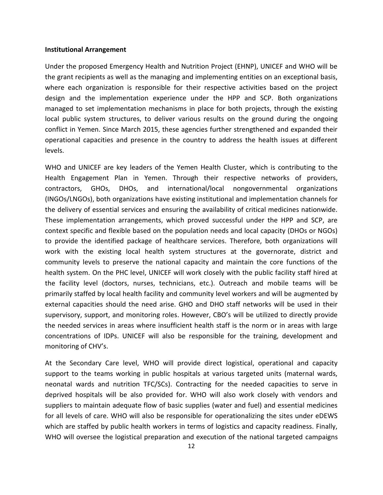#### **Institutional Arrangement**

Under the proposed Emergency Health and Nutrition Project (EHNP), UNICEF and WHO will be the grant recipients as well as the managing and implementing entities on an exceptional basis, where each organization is responsible for their respective activities based on the project design and the implementation experience under the HPP and SCP. Both organizations managed to set implementation mechanisms in place for both projects, through the existing local public system structures, to deliver various results on the ground during the ongoing conflict in Yemen. Since March 2015, these agencies further strengthened and expanded their operational capacities and presence in the country to address the health issues at different levels.

WHO and UNICEF are key leaders of the Yemen Health Cluster, which is contributing to the Health Engagement Plan in Yemen. Through their respective networks of providers, contractors, GHOs, DHOs, and international/local nongovernmental organizations (INGOs/LNGOs), both organizations have existing institutional and implementation channels for the delivery of essential services and ensuring the availability of critical medicines nationwide. These implementation arrangements, which proved successful under the HPP and SCP, are context specific and flexible based on the population needs and local capacity (DHOs or NGOs) to provide the identified package of healthcare services. Therefore, both organizations will work with the existing local health system structures at the governorate, district and community levels to preserve the national capacity and maintain the core functions of the health system. On the PHC level, UNICEF will work closely with the public facility staff hired at the facility level (doctors, nurses, technicians, etc.). Outreach and mobile teams will be primarily staffed by local health facility and community level workers and will be augmented by external capacities should the need arise. GHO and DHO staff networks will be used in their supervisory, support, and monitoring roles. However, CBO's will be utilized to directly provide the needed services in areas where insufficient health staff is the norm or in areas with large concentrations of IDPs. UNICEF will also be responsible for the training, development and monitoring of CHV's.

At the Secondary Care level, WHO will provide direct logistical, operational and capacity support to the teams working in public hospitals at various targeted units (maternal wards, neonatal wards and nutrition TFC/SCs). Contracting for the needed capacities to serve in deprived hospitals will be also provided for. WHO will also work closely with vendors and suppliers to maintain adequate flow of basic supplies (water and fuel) and essential medicines for all levels of care. WHO will also be responsible for operationalizing the sites under eDEWS which are staffed by public health workers in terms of logistics and capacity readiness. Finally, WHO will oversee the logistical preparation and execution of the national targeted campaigns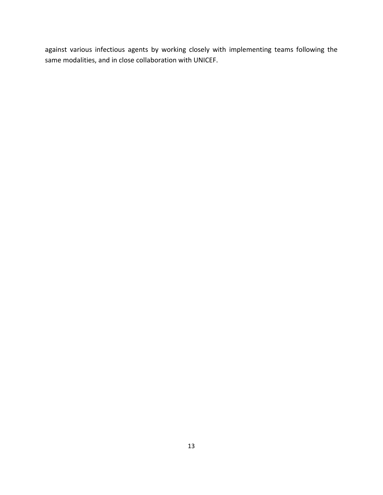<span id="page-12-0"></span>against various infectious agents by working closely with implementing teams following the same modalities, and in close collaboration with UNICEF.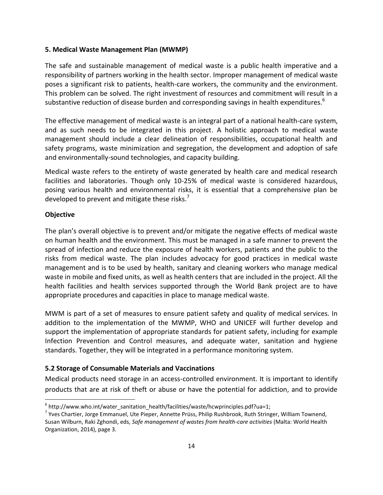#### **5. Medical Waste Management Plan (MWMP)**

The safe and sustainable management of medical waste is a public health imperative and a responsibility of partners working in the health sector. Improper management of medical waste poses a significant risk to patients, health-care workers, the community and the environment. This problem can be solved. The right investment of resources and commitment will result in a substantive reduction of disease burden and corresponding savings in health expenditures.<sup>6</sup>

The effective management of medical waste is an integral part of a national health-care system, and as such needs to be integrated in this project. A holistic approach to medical waste management should include a clear delineation of responsibilities, occupational health and safety programs, waste minimization and segregation, the development and adoption of safe and environmentally-sound technologies, and capacity building.

Medical waste refers to the entirety of waste generated by health care and medical research facilities and laboratories. Though only 10-25% of medical waste is considered hazardous, posing various health and environmental risks, it is essential that a comprehensive plan be developed to prevent and mitigate these risks. $'$ 

#### **Objective**

 $\overline{\phantom{a}}$ 

The plan's overall objective is to prevent and/or mitigate the negative effects of medical waste on human health and the environment. This must be managed in a safe manner to prevent the spread of infection and reduce the exposure of health workers, patients and the public to the risks from medical waste. The plan includes advocacy for good practices in medical waste management and is to be used by health, sanitary and cleaning workers who manage medical waste in mobile and fixed units, as well as health centers that are included in the project. All the health facilities and health services supported through the World Bank project are to have appropriate procedures and capacities in place to manage medical waste.

MWM is part of a set of measures to ensure patient safety and quality of medical services. In addition to the implementation of the MWMP, WHO and UNICEF will further develop and support the implementation of appropriate standards for patient safety, including for example Infection Prevention and Control measures, and adequate water, sanitation and hygiene standards. Together, they will be integrated in a performance monitoring system.

#### **5.2 Storage of Consumable Materials and Vaccinations**

Medical products need storage in an access-controlled environment. It is important to identify products that are at risk of theft or abuse or have the potential for addiction, and to provide

<sup>&</sup>lt;sup>6</sup> http://www.who.int/water\_sanitation\_health/facilities/waste/hcwprinciples.pdf?ua=1;

<sup>&</sup>lt;sup>7</sup> Yves Chartier, Jorge Emmanuel, Ute Pieper, Annette Prüss, Philip Rushbrook, Ruth Stringer, William Townend, Susan Wilburn, Raki Zghondi, eds, *Safe management of wastes from health-care activities* (Malta: World Health Organization, 2014), page 3.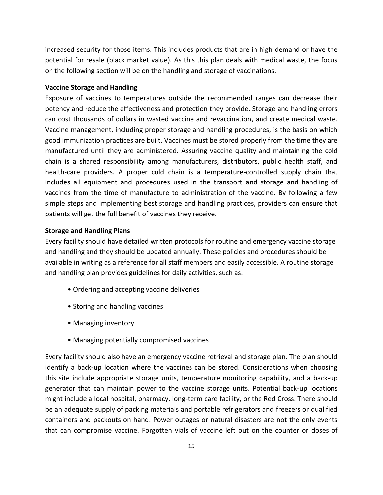increased security for those items. This includes products that are in high demand or have the potential for resale (black market value). As this this plan deals with medical waste, the focus on the following section will be on the handling and storage of vaccinations.

#### **Vaccine Storage and Handling**

Exposure of vaccines to temperatures outside the recommended ranges can decrease their potency and reduce the effectiveness and protection they provide. Storage and handling errors can cost thousands of dollars in wasted vaccine and revaccination, and create medical waste. Vaccine management, including proper storage and handling procedures, is the basis on which good immunization practices are built. Vaccines must be stored properly from the time they are manufactured until they are administered. Assuring vaccine quality and maintaining the cold chain is a shared responsibility among manufacturers, distributors, public health staff, and health-care providers. A proper cold chain is a temperature-controlled supply chain that includes all equipment and procedures used in the transport and storage and handling of vaccines from the time of manufacture to administration of the vaccine. By following a few simple steps and implementing best storage and handling practices, providers can ensure that patients will get the full benefit of vaccines they receive.

#### **Storage and Handling Plans**

Every facility should have detailed written protocols for routine and emergency vaccine storage and handling and they should be updated annually. These policies and procedures should be available in writing as a reference for all staff members and easily accessible. A routine storage and handling plan provides guidelines for daily activities, such as:

- Ordering and accepting vaccine deliveries
- Storing and handling vaccines
- Managing inventory
- Managing potentially compromised vaccines

Every facility should also have an emergency vaccine retrieval and storage plan. The plan should identify a back-up location where the vaccines can be stored. Considerations when choosing this site include appropriate storage units, temperature monitoring capability, and a back-up generator that can maintain power to the vaccine storage units. Potential back-up locations might include a local hospital, pharmacy, long-term care facility, or the Red Cross. There should be an adequate supply of packing materials and portable refrigerators and freezers or qualified containers and packouts on hand. Power outages or natural disasters are not the only events that can compromise vaccine. Forgotten vials of vaccine left out on the counter or doses of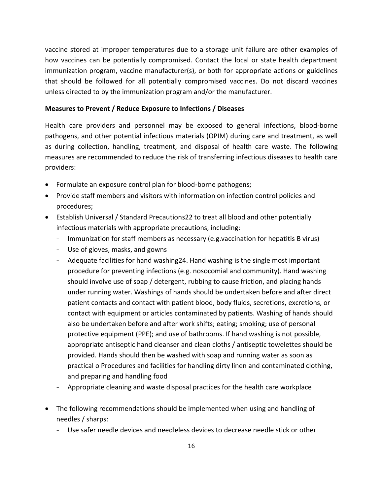vaccine stored at improper temperatures due to a storage unit failure are other examples of how vaccines can be potentially compromised. Contact the local or state health department immunization program, vaccine manufacturer(s), or both for appropriate actions or guidelines that should be followed for all potentially compromised vaccines. Do not discard vaccines unless directed to by the immunization program and/or the manufacturer.

#### **Measures to Prevent / Reduce Exposure to Infections / Diseases**

Health care providers and personnel may be exposed to general infections, blood-borne pathogens, and other potential infectious materials (OPIM) during care and treatment, as well as during collection, handling, treatment, and disposal of health care waste. The following measures are recommended to reduce the risk of transferring infectious diseases to health care providers:

- Formulate an exposure control plan for blood-borne pathogens;
- Provide staff members and visitors with information on infection control policies and procedures;
- Establish Universal / Standard Precautions22 to treat all blood and other potentially infectious materials with appropriate precautions, including:
	- Immunization for staff members as necessary (e.g.vaccination for hepatitis B virus)
	- Use of gloves, masks, and gowns
	- Adequate facilities for hand washing24. Hand washing is the single most important procedure for preventing infections (e.g. nosocomial and community). Hand washing should involve use of soap / detergent, rubbing to cause friction, and placing hands under running water. Washings of hands should be undertaken before and after direct patient contacts and contact with patient blood, body fluids, secretions, excretions, or contact with equipment or articles contaminated by patients. Washing of hands should also be undertaken before and after work shifts; eating; smoking; use of personal protective equipment (PPE); and use of bathrooms. If hand washing is not possible, appropriate antiseptic hand cleanser and clean cloths / antiseptic towelettes should be provided. Hands should then be washed with soap and running water as soon as practical o Procedures and facilities for handling dirty linen and contaminated clothing, and preparing and handling food
	- Appropriate cleaning and waste disposal practices for the health care workplace
- The following recommendations should be implemented when using and handling of needles / sharps:
	- Use safer needle devices and needleless devices to decrease needle stick or other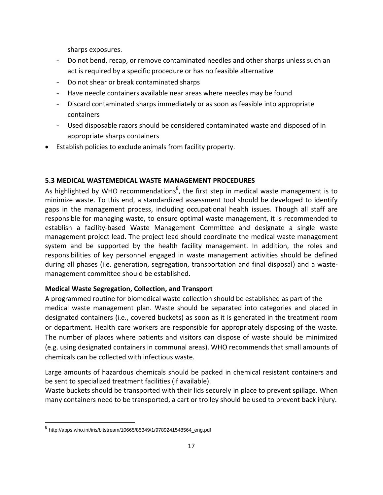sharps exposures.

- Do not bend, recap, or remove contaminated needles and other sharps unless such an act is required by a specific procedure or has no feasible alternative
- Do not shear or break contaminated sharps
- Have needle containers available near areas where needles may be found
- Discard contaminated sharps immediately or as soon as feasible into appropriate containers
- Used disposable razors should be considered contaminated waste and disposed of in appropriate sharps containers
- Establish policies to exclude animals from facility property.

## **5.3 MEDICAL WASTEMEDICAL WASTE MANAGEMENT PROCEDURES**

As highlighted by WHO recommendations<sup>8</sup>, the first step in medical waste management is to minimize waste. To this end, a standardized assessment tool should be developed to identify gaps in the management process, including occupational health issues. Though all staff are responsible for managing waste, to ensure optimal waste management, it is recommended to establish a facility-based Waste Management Committee and designate a single waste management project lead. The project lead should coordinate the medical waste management system and be supported by the health facility management. In addition, the roles and responsibilities of key personnel engaged in waste management activities should be defined during all phases (i.e. generation, segregation, transportation and final disposal) and a wastemanagement committee should be established.

#### **Medical Waste Segregation, Collection, and Transport**

A programmed routine for biomedical waste collection should be established as part of the medical waste management plan. Waste should be separated into categories and placed in designated containers (i.e., covered buckets) as soon as it is generated in the treatment room or department. Health care workers are responsible for appropriately disposing of the waste. The number of places where patients and visitors can dispose of waste should be minimized (e.g. using designated containers in communal areas). WHO recommends that small amounts of chemicals can be collected with infectious waste.

Large amounts of hazardous chemicals should be packed in chemical resistant containers and be sent to specialized treatment facilities (if available).

Waste buckets should be transported with their lids securely in place to prevent spillage. When many containers need to be transported, a cart or trolley should be used to prevent back injury.

 $\overline{a}$ 

<sup>&</sup>lt;sup>8</sup> http://apps.who.int/iris/bitstream/10665/85349/1/9789241548564\_eng.pdf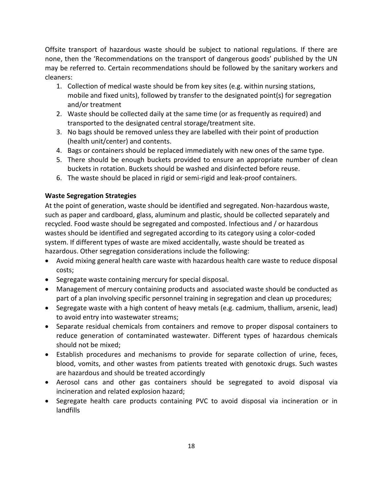Offsite transport of hazardous waste should be subject to national regulations. If there are none, then the 'Recommendations on the transport of dangerous goods' published by the UN may be referred to. Certain recommendations should be followed by the sanitary workers and cleaners:

- 1. Collection of medical waste should be from key sites (e.g. within nursing stations, mobile and fixed units), followed by transfer to the designated point(s) for segregation and/or treatment
- 2. Waste should be collected daily at the same time (or as frequently as required) and transported to the designated central storage/treatment site.
- 3. No bags should be removed unless they are labelled with their point of production (health unit/center) and contents.
- 4. Bags or containers should be replaced immediately with new ones of the same type.
- 5. There should be enough buckets provided to ensure an appropriate number of clean buckets in rotation. Buckets should be washed and disinfected before reuse.
- 6. The waste should be placed in rigid or semi-rigid and leak-proof containers.

## **Waste Segregation Strategies**

At the point of generation, waste should be identified and segregated. Non-hazardous waste, such as paper and cardboard, glass, aluminum and plastic, should be collected separately and recycled. Food waste should be segregated and composted. Infectious and / or hazardous wastes should be identified and segregated according to its category using a color-coded system. If different types of waste are mixed accidentally, waste should be treated as hazardous. Other segregation considerations include the following:

- Avoid mixing general health care waste with hazardous health care waste to reduce disposal costs;
- Segregate waste containing mercury for special disposal.
- Management of mercury containing products and associated waste should be conducted as part of a plan involving specific personnel training in segregation and clean up procedures;
- Segregate waste with a high content of heavy metals (e.g. cadmium, thallium, arsenic, lead) to avoid entry into wastewater streams;
- Separate residual chemicals from containers and remove to proper disposal containers to reduce generation of contaminated wastewater. Different types of hazardous chemicals should not be mixed;
- Establish procedures and mechanisms to provide for separate collection of urine, feces, blood, vomits, and other wastes from patients treated with genotoxic drugs. Such wastes are hazardous and should be treated accordingly
- Aerosol cans and other gas containers should be segregated to avoid disposal via incineration and related explosion hazard;
- Segregate health care products containing PVC to avoid disposal via incineration or in landfills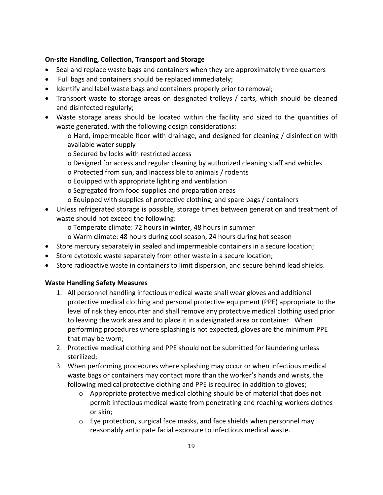## **On-site Handling, Collection, Transport and Storage**

- Seal and replace waste bags and containers when they are approximately three quarters
- Full bags and containers should be replaced immediately;
- Identify and label waste bags and containers properly prior to removal;
- Transport waste to storage areas on designated trolleys / carts, which should be cleaned and disinfected regularly;
- Waste storage areas should be located within the facility and sized to the quantities of waste generated, with the following design considerations:

o Hard, impermeable floor with drainage, and designed for cleaning / disinfection with available water supply

o Secured by locks with restricted access

- o Designed for access and regular cleaning by authorized cleaning staff and vehicles
- o Protected from sun, and inaccessible to animals / rodents
- o Equipped with appropriate lighting and ventilation
- o Segregated from food supplies and preparation areas
- o Equipped with supplies of protective clothing, and spare bags / containers
- Unless refrigerated storage is possible, storage times between generation and treatment of waste should not exceed the following:

o Temperate climate: 72 hours in winter, 48 hours in summer

- o Warm climate: 48 hours during cool season, 24 hours during hot season
- Store mercury separately in sealed and impermeable containers in a secure location;
- Store cytotoxic waste separately from other waste in a secure location;
- Store radioactive waste in containers to limit dispersion, and secure behind lead shields.

## **Waste Handling Safety Measures**

- 1. All personnel handling infectious medical waste shall wear gloves and additional protective medical clothing and personal protective equipment (PPE) appropriate to the level of risk they encounter and shall remove any protective medical clothing used prior to leaving the work area and to place it in a designated area or container. When performing procedures where splashing is not expected, gloves are the minimum PPE that may be worn;
- 2. Protective medical clothing and PPE should not be submitted for laundering unless sterilized;
- 3. When performing procedures where splashing may occur or when infectious medical waste bags or containers may contact more than the worker's hands and wrists, the following medical protective clothing and PPE is required in addition to gloves;
	- $\circ$  Appropriate protective medical clothing should be of material that does not permit infectious medical waste from penetrating and reaching workers clothes or skin;
	- $\circ$  Eye protection, surgical face masks, and face shields when personnel may reasonably anticipate facial exposure to infectious medical waste.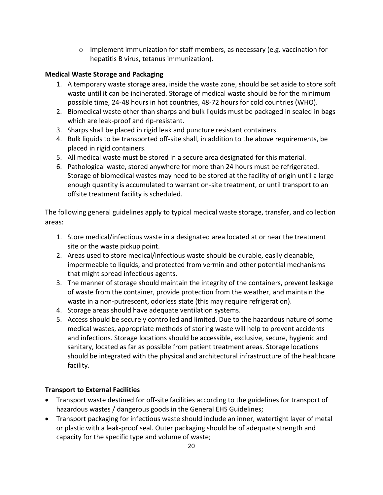o Implement immunization for staff members, as necessary (e.g. vaccination for hepatitis B virus, tetanus immunization).

## **Medical Waste Storage and Packaging**

- 1. A temporary waste storage area, inside the waste zone, should be set aside to store soft waste until it can be incinerated. Storage of medical waste should be for the minimum possible time, 24-48 hours in hot countries, 48-72 hours for cold countries (WHO).
- 2. Biomedical waste other than sharps and bulk liquids must be packaged in sealed in bags which are leak-proof and rip-resistant.
- 3. Sharps shall be placed in rigid leak and puncture resistant containers.
- 4. Bulk liquids to be transported off-site shall, in addition to the above requirements, be placed in rigid containers.
- 5. All medical waste must be stored in a secure area designated for this material.
- 6. Pathological waste, stored anywhere for more than 24 hours must be refrigerated. Storage of biomedical wastes may need to be stored at the facility of origin until a large enough quantity is accumulated to warrant on-site treatment, or until transport to an offsite treatment facility is scheduled.

The following general guidelines apply to typical medical waste storage, transfer, and collection areas:

- 1. Store medical/infectious waste in a designated area located at or near the treatment site or the waste pickup point.
- 2. Areas used to store medical/infectious waste should be durable, easily cleanable, impermeable to liquids, and protected from vermin and other potential mechanisms that might spread infectious agents.
- 3. The manner of storage should maintain the integrity of the containers, prevent leakage of waste from the container, provide protection from the weather, and maintain the waste in a non-putrescent, odorless state (this may require refrigeration).
- 4. Storage areas should have adequate ventilation systems.
- 5. Access should be securely controlled and limited. Due to the hazardous nature of some medical wastes, appropriate methods of storing waste will help to prevent accidents and infections. Storage locations should be accessible, exclusive, secure, hygienic and sanitary, located as far as possible from patient treatment areas. Storage locations should be integrated with the physical and architectural infrastructure of the healthcare facility.

## **Transport to External Facilities**

- Transport waste destined for off-site facilities according to the guidelines for transport of hazardous wastes / dangerous goods in the General EHS Guidelines;
- Transport packaging for infectious waste should include an inner, watertight layer of metal or plastic with a leak-proof seal. Outer packaging should be of adequate strength and capacity for the specific type and volume of waste;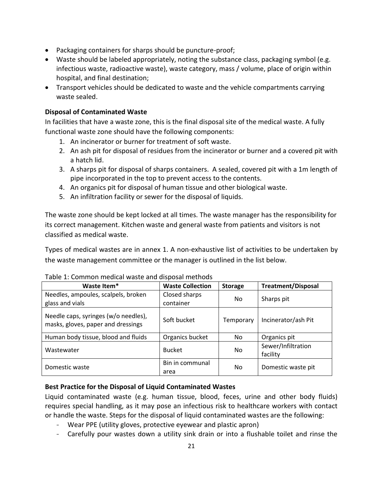- Packaging containers for sharps should be puncture-proof;
- Waste should be labeled appropriately, noting the substance class, packaging symbol (e.g. infectious waste, radioactive waste), waste category, mass / volume, place of origin within hospital, and final destination;
- Transport vehicles should be dedicated to waste and the vehicle compartments carrying waste sealed.

## **Disposal of Contaminated Waste**

In facilities that have a waste zone, this is the final disposal site of the medical waste. A fully functional waste zone should have the following components:

- 1. An incinerator or burner for treatment of soft waste.
- 2. An ash pit for disposal of residues from the incinerator or burner and a covered pit with a hatch lid.
- 3. A sharps pit for disposal of sharps containers. A sealed, covered pit with a 1m length of pipe incorporated in the top to prevent access to the contents.
- 4. An organics pit for disposal of human tissue and other biological waste.
- 5. An infiltration facility or sewer for the disposal of liquids.

The waste zone should be kept locked at all times. The waste manager has the responsibility for its correct management. Kitchen waste and general waste from patients and visitors is not classified as medical waste.

Types of medical wastes are in annex 1. A non-exhaustive list of activities to be undertaken by the waste management committee or the manager is outlined in the list below.

| Waste Item*                                                                | <b>Waste Collection</b>    | <b>Storage</b> | <b>Treatment/Disposal</b>      |
|----------------------------------------------------------------------------|----------------------------|----------------|--------------------------------|
| Needles, ampoules, scalpels, broken<br>glass and vials                     | Closed sharps<br>container | No.            | Sharps pit                     |
| Needle caps, syringes (w/o needles),<br>masks, gloves, paper and dressings | Soft bucket                | Temporary      | Incinerator/ash Pit            |
| Human body tissue, blood and fluids                                        | Organics bucket            | No.            | Organics pit                   |
| Wastewater                                                                 | <b>Bucket</b>              | No.            | Sewer/Infiltration<br>facility |
| Domestic waste                                                             | Bin in communal<br>area    | No.            | Domestic waste pit             |

## Table 1: Common medical waste and disposal methods

## **Best Practice for the Disposal of Liquid Contaminated Wastes**

Liquid contaminated waste (e.g. human tissue, blood, feces, urine and other body fluids) requires special handling, as it may pose an infectious risk to healthcare workers with contact or handle the waste. Steps for the disposal of liquid contaminated wastes are the following:

- Wear PPE (utility gloves, protective eyewear and plastic apron)
- Carefully pour wastes down a utility sink drain or into a flushable toilet and rinse the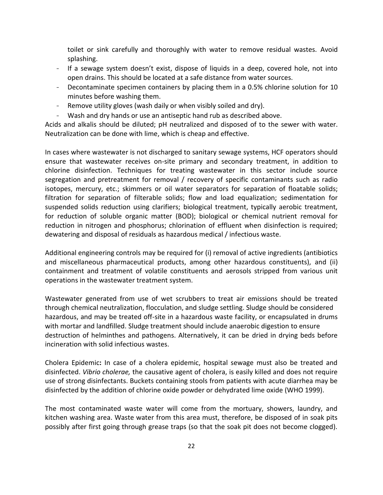toilet or sink carefully and thoroughly with water to remove residual wastes. Avoid splashing.

- If a sewage system doesn't exist, dispose of liquids in a deep, covered hole, not into open drains. This should be located at a safe distance from water sources.
- Decontaminate specimen containers by placing them in a 0.5% chlorine solution for 10 minutes before washing them.
- Remove utility gloves (wash daily or when visibly soiled and dry).
- Wash and dry hands or use an antiseptic hand rub as described above.

Acids and alkalis should be diluted; pH neutralized and disposed of to the sewer with water. Neutralization can be done with lime, which is cheap and effective.

In cases where wastewater is not discharged to sanitary sewage systems, HCF operators should ensure that wastewater receives on-site primary and secondary treatment, in addition to chlorine disinfection. Techniques for treating wastewater in this sector include source segregation and pretreatment for removal / recovery of specific contaminants such as radio isotopes, mercury, etc.; skimmers or oil water separators for separation of floatable solids; filtration for separation of filterable solids; flow and load equalization; sedimentation for suspended solids reduction using clarifiers; biological treatment, typically aerobic treatment, for reduction of soluble organic matter (BOD); biological or chemical nutrient removal for reduction in nitrogen and phosphorus; chlorination of effluent when disinfection is required; dewatering and disposal of residuals as hazardous medical / infectious waste.

Additional engineering controls may be required for (i) removal of active ingredients (antibiotics and miscellaneous pharmaceutical products, among other hazardous constituents), and (ii) containment and treatment of volatile constituents and aerosols stripped from various unit operations in the wastewater treatment system.

Wastewater generated from use of wet scrubbers to treat air emissions should be treated through chemical neutralization, flocculation, and sludge settling. Sludge should be considered hazardous, and may be treated off-site in a hazardous waste facility, or encapsulated in drums with mortar and landfilled. Sludge treatment should include anaerobic digestion to ensure destruction of helminthes and pathogens. Alternatively, it can be dried in drying beds before incineration with solid infectious wastes.

Cholera Epidemic**:** In case of a cholera epidemic, hospital sewage must also be treated and disinfected. *Vibrio cholerae,* the causative agent of cholera, is easily killed and does not require use of strong disinfectants. Buckets containing stools from patients with acute diarrhea may be disinfected by the addition of chlorine oxide powder or dehydrated lime oxide (WHO 1999).

The most contaminated waste water will come from the mortuary, showers, laundry, and kitchen washing area. Waste water from this area must, therefore, be disposed of in soak pits possibly after first going through grease traps (so that the soak pit does not become clogged).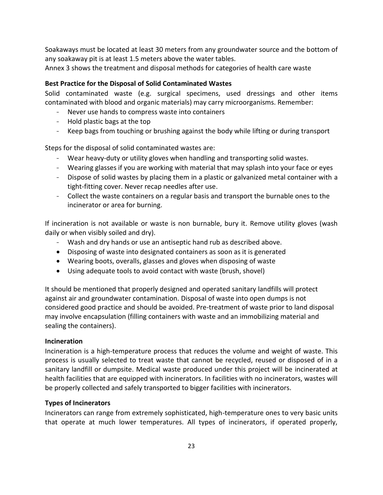Soakaways must be located at least 30 meters from any groundwater source and the bottom of any soakaway pit is at least 1.5 meters above the water tables.

Annex 3 shows the treatment and disposal methods for categories of health care waste

## **Best Practice for the Disposal of Solid Contaminated Wastes**

Solid contaminated waste (e.g. surgical specimens, used dressings and other items contaminated with blood and organic materials) may carry microorganisms. Remember:

- Never use hands to compress waste into containers
- Hold plastic bags at the top
- Keep bags from touching or brushing against the body while lifting or during transport

Steps for the disposal of solid contaminated wastes are:

- Wear heavy-duty or utility gloves when handling and transporting solid wastes.
- Wearing glasses if you are working with material that may splash into your face or eyes
- Dispose of solid wastes by placing them in a plastic or galvanized metal container with a tight-fitting cover. Never recap needles after use.
- Collect the waste containers on a regular basis and transport the burnable ones to the incinerator or area for burning.

If incineration is not available or waste is non burnable, bury it. Remove utility gloves (wash daily or when visibly soiled and dry).

- Wash and dry hands or use an antiseptic hand rub as described above.
- Disposing of waste into designated containers as soon as it is generated
- Wearing boots, overalls, glasses and gloves when disposing of waste
- Using adequate tools to avoid contact with waste (brush, shovel)

It should be mentioned that properly designed and operated sanitary landfills will protect against air and groundwater contamination. Disposal of waste into open dumps is not considered good practice and should be avoided. Pre-treatment of waste prior to land disposal may involve encapsulation (filling containers with waste and an immobilizing material and sealing the containers).

## **Incineration**

Incineration is a high-temperature process that reduces the volume and weight of waste. This process is usually selected to treat waste that cannot be recycled, reused or disposed of in a sanitary landfill or dumpsite. Medical waste produced under this project will be incinerated at health facilities that are equipped with incinerators. In facilities with no incinerators, wastes will be properly collected and safely transported to bigger facilities with incinerators.

## **Types of Incinerators**

Incinerators can range from extremely sophisticated, high-temperature ones to very basic units that operate at much lower temperatures. All types of incinerators, if operated properly,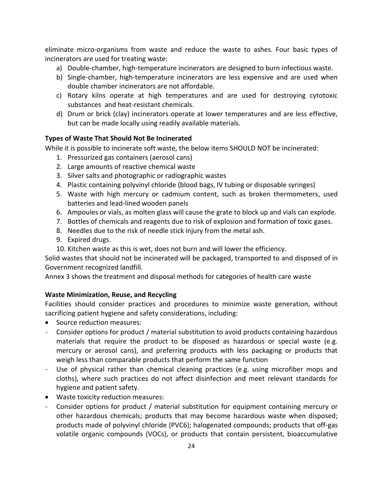eliminate micro-organisms from waste and reduce the waste to ashes. Four basic types of incinerators are used for treating waste:

- a) Double-chamber, high-temperature incinerators are designed to burn infectious waste.
- b) Single-chamber, high-temperature incinerators are less expensive and are used when double chamber incinerators are not affordable.
- c) Rotary kilns operate at high temperatures and are used for destroying cytotoxic substances and heat-resistant chemicals.
- d) Drum or brick (clay) incinerators operate at lower temperatures and are less effective, but can be made locally using readily available materials.

## **Types of Waste That Should Not Be Incinerated**

While it is possible to incinerate soft waste, the below items SHOULD NOT be incinerated:

- 1. Pressurized gas containers (aerosol cans)
- 2. Large amounts of reactive chemical waste
- 3. Silver salts and photographic or radiographic wastes
- 4. Plastic containing polyvinyl chloride (blood bags, IV tubing or disposable syringes)
- 5. Waste with high mercury or cadmium content, such as broken thermometers, used batteries and lead-lined wooden panels
- 6. Ampoules or vials, as molten glass will cause the grate to block up and vials can explode.
- 7. Bottles of chemicals and reagents due to risk of explosion and formation of toxic gases.
- 8. Needles due to the risk of needle stick injury from the metal ash.
- 9. Expired drugs.
- 10. Kitchen waste as this is wet, does not burn and will lower the efficiency.

Solid wastes that should not be incinerated will be packaged, transported to and disposed of in Government recognized landfill.

Annex 3 shows the treatment and disposal methods for categories of health care waste

## **Waste Minimization, Reuse, and Recycling**

Facilities should consider practices and procedures to minimize waste generation, without sacrificing patient hygiene and safety considerations, including:

- Source reduction measures:
- Consider options for product / material substitution to avoid products containing hazardous materials that require the product to be disposed as hazardous or special waste (e.g. mercury or aerosol cans), and preferring products with less packaging or products that weigh less than comparable products that perform the same function
- Use of physical rather than chemical cleaning practices (e.g. using microfiber mops and cloths), where such practices do not affect disinfection and meet relevant standards for hygiene and patient safety.
- Waste toxicity reduction measures:
- Consider options for product / material substitution for equipment containing mercury or other hazardous chemicals; products that may become hazardous waste when disposed; products made of polyvinyl chloride (PVC6); halogenated compounds; products that off-gas volatile organic compounds (VOCs), or products that contain persistent, bioaccumulative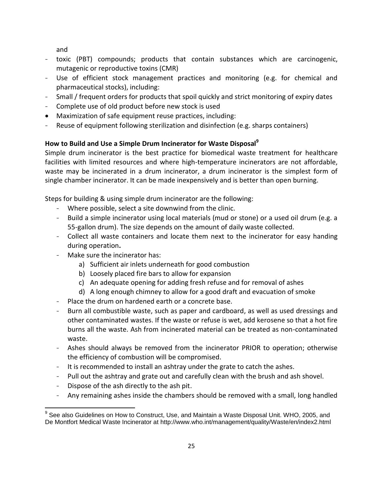and

- toxic (PBT) compounds; products that contain substances which are carcinogenic, mutagenic or reproductive toxins (CMR)
- Use of efficient stock management practices and monitoring (e.g. for chemical and pharmaceutical stocks), including:
- Small / frequent orders for products that spoil quickly and strict monitoring of expiry dates
- Complete use of old product before new stock is used
- Maximization of safe equipment reuse practices, including:
- Reuse of equipment following sterilization and disinfection (e.g. sharps containers)

## **How to Build and Use a Simple Drum Incinerator for Waste Disposal<sup>9</sup>**

Simple drum incinerator is the best practice for biomedical waste treatment for healthcare facilities with limited resources and where high-temperature incinerators are not affordable, waste may be incinerated in a drum incinerator, a drum incinerator is the simplest form of single chamber incinerator. It can be made inexpensively and is better than open burning.

Steps for building & using simple drum incinerator are the following:

- Where possible, select a site downwind from the clinic.
- Build a simple incinerator using local materials (mud or stone) or a used oil drum (e.g. a 55-gallon drum). The size depends on the amount of daily waste collected.
- Collect all waste containers and locate them next to the incinerator for easy handing during operation**.**
- Make sure the incinerator has:
	- a) Sufficient air inlets underneath for good combustion
	- b) Loosely placed fire bars to allow for expansion
	- c) An adequate opening for adding fresh refuse and for removal of ashes
	- d) A long enough chimney to allow for a good draft and evacuation of smoke
- Place the drum on hardened earth or a concrete base.
- Burn all combustible waste, such as paper and cardboard, as well as used dressings and other contaminated wastes. If the waste or refuse is wet, add kerosene so that a hot fire burns all the waste. Ash from incinerated material can be treated as non-contaminated waste.
- Ashes should always be removed from the incinerator PRIOR to operation; otherwise the efficiency of combustion will be compromised.
- It is recommended to install an ashtray under the grate to catch the ashes.
- Pull out the ashtray and grate out and carefully clean with the brush and ash shovel.
- Dispose of the ash directly to the ash pit.
- Any remaining ashes inside the chambers should be removed with a small, long handled

 $\overline{a}$  $^9$  See also Guidelines on How to Construct, Use, and Maintain a Waste Disposal Unit. WHO, 2005, and De Montfort Medical Waste Incinerator at http://www.who.int/management/quality/Waste/en/index2.html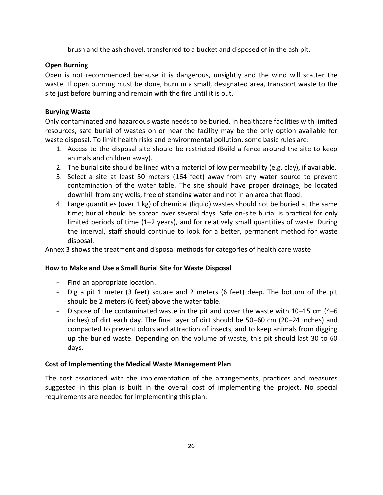brush and the ash shovel, transferred to a bucket and disposed of in the ash pit.

## **Open Burning**

Open is not recommended because it is dangerous, unsightly and the wind will scatter the waste. If open burning must be done, burn in a small, designated area, transport waste to the site just before burning and remain with the fire until it is out.

## **Burying Waste**

Only contaminated and hazardous waste needs to be buried. In healthcare facilities with limited resources, safe burial of wastes on or near the facility may be the only option available for waste disposal. To limit health risks and environmental pollution, some basic rules are:

- 1. Access to the disposal site should be restricted (Build a fence around the site to keep animals and children away).
- 2. The burial site should be lined with a material of low permeability (e.g. clay), if available.
- 3. Select a site at least 50 meters (164 feet) away from any water source to prevent contamination of the water table. The site should have proper drainage, be located downhill from any wells, free of standing water and not in an area that flood.
- 4. Large quantities (over 1 kg) of chemical (liquid) wastes should not be buried at the same time; burial should be spread over several days. Safe on-site burial is practical for only limited periods of time (1–2 years), and for relatively small quantities of waste. During the interval, staff should continue to look for a better, permanent method for waste disposal.

Annex 3 shows the treatment and disposal methods for categories of health care waste

## **How to Make and Use a Small Burial Site for Waste Disposal**

- Find an appropriate location.
- Dig a pit 1 meter (3 feet) square and 2 meters (6 feet) deep. The bottom of the pit should be 2 meters (6 feet) above the water table.
- Dispose of the contaminated waste in the pit and cover the waste with 10–15 cm (4–6 inches) of dirt each day. The final layer of dirt should be 50–60 cm (20–24 inches) and compacted to prevent odors and attraction of insects, and to keep animals from digging up the buried waste. Depending on the volume of waste, this pit should last 30 to 60 days.

## **Cost of Implementing the Medical Waste Management Plan**

The cost associated with the implementation of the arrangements, practices and measures suggested in this plan is built in the overall cost of implementing the project. No special requirements are needed for implementing this plan.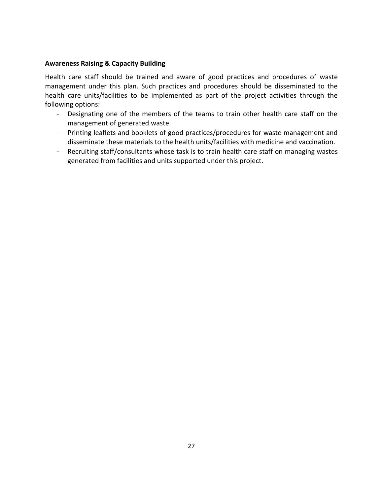## **Awareness Raising & Capacity Building**

Health care staff should be trained and aware of good practices and procedures of waste management under this plan. Such practices and procedures should be disseminated to the health care units/facilities to be implemented as part of the project activities through the following options:

- Designating one of the members of the teams to train other health care staff on the management of generated waste.
- Printing leaflets and booklets of good practices/procedures for waste management and disseminate these materials to the health units/facilities with medicine and vaccination.
- Recruiting staff/consultants whose task is to train health care staff on managing wastes generated from facilities and units supported under this project.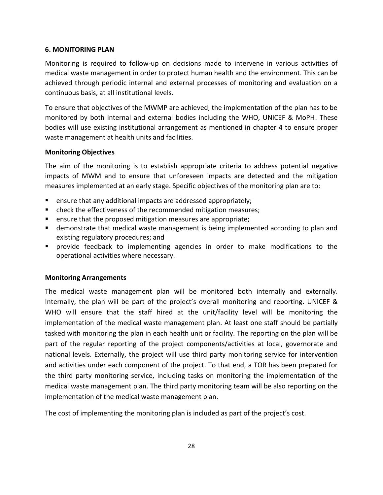## **6. MONITORING PLAN**

Monitoring is required to follow-up on decisions made to intervene in various activities of medical waste management in order to protect human health and the environment. This can be achieved through periodic internal and external processes of monitoring and evaluation on a continuous basis, at all institutional levels.

To ensure that objectives of the MWMP are achieved, the implementation of the plan has to be monitored by both internal and external bodies including the WHO, UNICEF & MoPH. These bodies will use existing institutional arrangement as mentioned in chapter 4 to ensure proper waste management at health units and facilities.

## **Monitoring Objectives**

The aim of the monitoring is to establish appropriate criteria to address potential negative impacts of MWM and to ensure that unforeseen impacts are detected and the mitigation measures implemented at an early stage. Specific objectives of the monitoring plan are to:

- **E** ensure that any additional impacts are addressed appropriately;
- **•** check the effectiveness of the recommended mitigation measures;
- **E** ensure that the proposed mitigation measures are appropriate;
- demonstrate that medical waste management is being implemented according to plan and existing regulatory procedures; and
- provide feedback to implementing agencies in order to make modifications to the operational activities where necessary.

## **Monitoring Arrangements**

The medical waste management plan will be monitored both internally and externally. Internally, the plan will be part of the project's overall monitoring and reporting. UNICEF & WHO will ensure that the staff hired at the unit/facility level will be monitoring the implementation of the medical waste management plan. At least one staff should be partially tasked with monitoring the plan in each health unit or facility. The reporting on the plan will be part of the regular reporting of the project components/activities at local, governorate and national levels. Externally, the project will use third party monitoring service for intervention and activities under each component of the project. To that end, a TOR has been prepared for the third party monitoring service, including tasks on monitoring the implementation of the medical waste management plan. The third party monitoring team will be also reporting on the implementation of the medical waste management plan.

The cost of implementing the monitoring plan is included as part of the project's cost.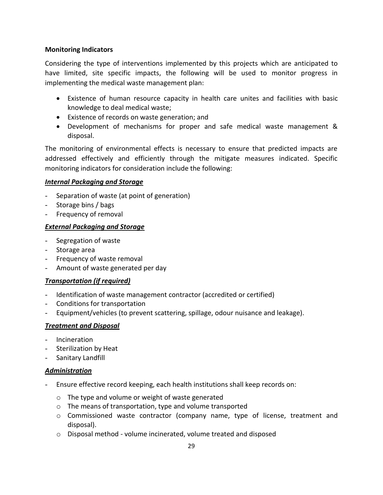## **Monitoring Indicators**

Considering the type of interventions implemented by this projects which are anticipated to have limited, site specific impacts, the following will be used to monitor progress in implementing the medical waste management plan:

- Existence of human resource capacity in health care unites and facilities with basic knowledge to deal medical waste;
- Existence of records on waste generation; and
- Development of mechanisms for proper and safe medical waste management & disposal.

The monitoring of environmental effects is necessary to ensure that predicted impacts are addressed effectively and efficiently through the mitigate measures indicated. Specific monitoring indicators for consideration include the following:

## *Internal Packaging and Storage*

- Separation of waste (at point of generation)
- Storage bins / bags
- Frequency of removal

## *External Packaging and Storage*

- Segregation of waste
- Storage area
- Frequency of waste removal
- Amount of waste generated per day

## *Transportation (if required)*

- Identification of waste management contractor (accredited or certified)
- Conditions for transportation
- Equipment/vehicles (to prevent scattering, spillage, odour nuisance and leakage).

## *Treatment and Disposal*

- Incineration
- Sterilization by Heat
- Sanitary Landfill

#### *Administration*

- Ensure effective record keeping, each health institutions shall keep records on:
	- o The type and volume or weight of waste generated
	- o The means of transportation, type and volume transported
	- o Commissioned waste contractor (company name, type of license, treatment and disposal).
	- o Disposal method volume incinerated, volume treated and disposed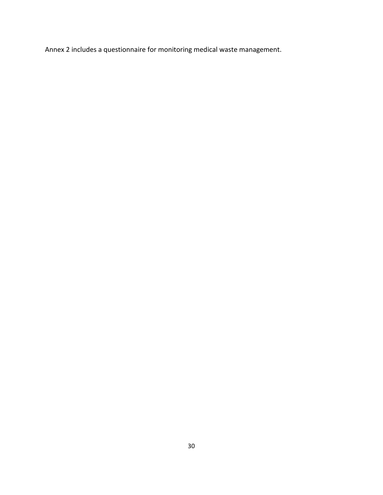Annex 2 includes a questionnaire for monitoring medical waste management.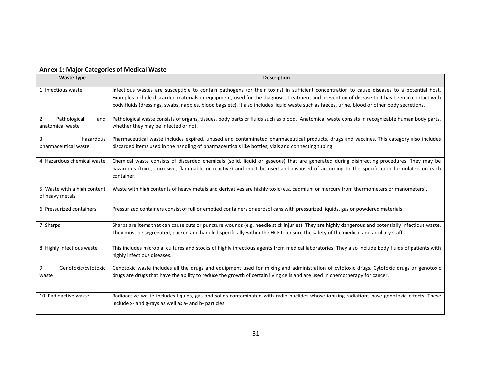| Waste type                                      | <b>Description</b>                                                                                                                                                                                                                                                                                                                                                                                                                           |
|-------------------------------------------------|----------------------------------------------------------------------------------------------------------------------------------------------------------------------------------------------------------------------------------------------------------------------------------------------------------------------------------------------------------------------------------------------------------------------------------------------|
| 1. Infectious waste                             | Infectious wastes are susceptible to contain pathogens (or their toxins) in sufficient concentration to cause diseases to a potential host.<br>Examples include discarded materials or equipment, used for the diagnosis, treatment and prevention of disease that has been in contact with<br>body fluids (dressings, swabs, nappies, blood bags etc). It also includes liquid waste such as faeces, urine, blood or other body secretions. |
| 2.<br>Pathological<br>and<br>anatomical waste   | Pathological waste consists of organs, tissues, body parts or fluids such as blood. Anatomical waste consists in recognizable human body parts,<br>whether they may be infected or not.                                                                                                                                                                                                                                                      |
| 3.<br>Hazardous<br>pharmaceutical waste         | Pharmaceutical waste includes expired, unused and contaminated pharmaceutical products, drugs and vaccines. This category also includes<br>discarded items used in the handling of pharmaceuticals like bottles, vials and connecting tubing.                                                                                                                                                                                                |
| 4. Hazardous chemical waste                     | Chemical waste consists of discarded chemicals (solid, liquid or gaseous) that are generated during disinfecting procedures. They may be<br>hazardous (toxic, corrosive, flammable or reactive) and must be used and disposed of according to the specification formulated on each<br>container.                                                                                                                                             |
| 5. Waste with a high content<br>of heavy metals | Waste with high contents of heavy metals and derivatives are highly toxic (e.g. cadmium or mercury from thermometers or manometers).                                                                                                                                                                                                                                                                                                         |
| 6. Pressurized containers                       | Pressurized containers consist of full or emptied containers or aerosol cans with pressurized liquids, gas or powdered materials                                                                                                                                                                                                                                                                                                             |
| 7. Sharps                                       | Sharps are items that can cause cuts or puncture wounds (e.g. needle stick injuries). They are highly dangerous and potentially infectious waste.<br>They must be segregated, packed and handled specifically within the HCF to ensure the safety of the medical and ancillary staff.                                                                                                                                                        |
| 8. Highly infectious waste                      | This includes microbial cultures and stocks of highly infectious agents from medical laboratories. They also include body fluids of patients with<br>highly infectious diseases.                                                                                                                                                                                                                                                             |
| 9.<br>Genotoxic/cytotoxic<br>waste              | Genotoxic waste includes all the drugs and equipment used for mixing and administration of cytotoxic drugs. Cytotoxic drugs or genotoxic<br>drugs are drugs that have the ability to reduce the growth of certain living cells and are used in chemotherapy for cancer.                                                                                                                                                                      |
| 10. Radioactive waste                           | Radioactive waste includes liquids, gas and solids contaminated with radio nuclides whose ionizing radiations have genotoxic effects. These<br>include x- and g-rays as well as a- and b- particles.                                                                                                                                                                                                                                         |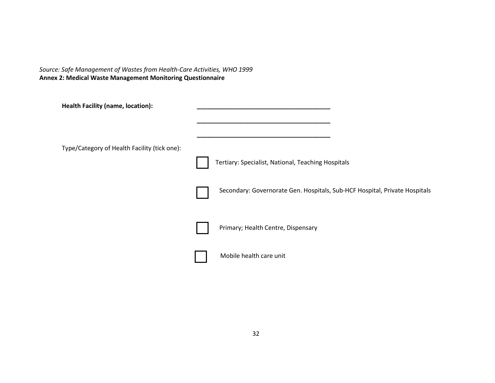*Source: Safe Management of Wastes from Health-Care Activities, WHO 1999* **Annex 2: Medical Waste Management Monitoring Questionnaire**

| <b>Health Facility (name, location):</b>     |                                                                            |
|----------------------------------------------|----------------------------------------------------------------------------|
| Type/Category of Health Facility (tick one): |                                                                            |
|                                              | Tertiary: Specialist, National, Teaching Hospitals                         |
|                                              | Secondary: Governorate Gen. Hospitals, Sub-HCF Hospital, Private Hospitals |
|                                              | Primary; Health Centre, Dispensary                                         |
|                                              | Mobile health care unit                                                    |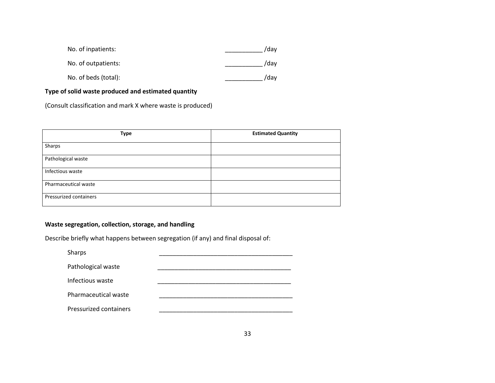| No. of inpatients:   | /dav |
|----------------------|------|
| No. of outpatients:  | /dav |
| No. of beds (total): | /dav |

## **Type of solid waste produced and estimated quantity**

(Consult classification and mark X where waste is produced)

| Type                   | <b>Estimated Quantity</b> |
|------------------------|---------------------------|
| Sharps                 |                           |
| Pathological waste     |                           |
| Infectious waste       |                           |
| Pharmaceutical waste   |                           |
| Pressurized containers |                           |

## **Waste segregation, collection, storage, and handling**

Describe briefly what happens between segregation (if any) and final disposal of:

| Sharps                 |  |
|------------------------|--|
| Pathological waste     |  |
| Infectious waste       |  |
| Pharmaceutical waste   |  |
| Pressurized containers |  |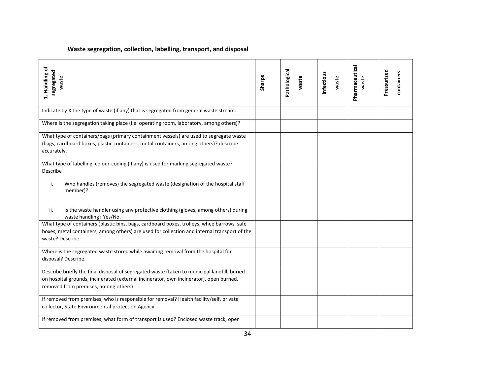## **Waste segregation, collection, labelling, transport, and disposal**

| 1. Handling of<br>segregated<br>waste                                                                                                                                                                                          | Sharps | Pathological<br>waste | Infectious<br>waste | Pharmaceutical<br>waste | Pressurized<br>containers |
|--------------------------------------------------------------------------------------------------------------------------------------------------------------------------------------------------------------------------------|--------|-----------------------|---------------------|-------------------------|---------------------------|
| Indicate by X the type of waste (if any) that is segregated from general waste stream.                                                                                                                                         |        |                       |                     |                         |                           |
| Where is the segregation taking place (i.e. operating room, laboratory, among others)?                                                                                                                                         |        |                       |                     |                         |                           |
| What type of containers/bags (primary containment vessels) are used to segregate waste<br>(bags, cardboard boxes, plastic containers, metal containers, among others)? describe<br>accurately.                                 |        |                       |                     |                         |                           |
| What type of labelling, colour-coding (if any) is used for marking segregated waste?<br>Describe                                                                                                                               |        |                       |                     |                         |                           |
| Who handles (removes) the segregated waste (designation of the hospital staff<br>i.<br>member)?                                                                                                                                |        |                       |                     |                         |                           |
| Is the waste handler using any protective clothing (gloves, among others) during<br>ii.<br>waste handling? Yes/No.                                                                                                             |        |                       |                     |                         |                           |
| What type of containers (plastic bins, bags, cardboard boxes, trolleys, wheelbarrows, safe<br>boxes, metal containers, among others) are used for collection and internal transport of the<br>waste? Describe.                 |        |                       |                     |                         |                           |
| Where is the segregated waste stored while awaiting removal from the hospital for<br>disposal? Describe.                                                                                                                       |        |                       |                     |                         |                           |
| Describe briefly the final disposal of segregated waste (taken to municipal landfill, buried<br>on hospital grounds, incinerated (external incinerator, own incinerator), open burned,<br>removed from premises, among others) |        |                       |                     |                         |                           |
| If removed from premises; who is responsible for removal? Health facility/self, private<br>collector, State Environmental protection Agency                                                                                    |        |                       |                     |                         |                           |
| If removed from premises; what form of transport is used? Enclosed waste track, open                                                                                                                                           |        |                       |                     |                         |                           |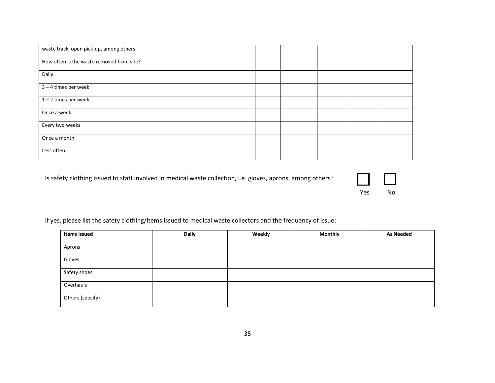| waste track, open pick-up, among others   |  |  |  |
|-------------------------------------------|--|--|--|
| How often is the waste removed from site? |  |  |  |
| Daily                                     |  |  |  |
| 3-4 times per week                        |  |  |  |
| $1 - 2$ times per week                    |  |  |  |
| Once a week                               |  |  |  |
| Every two weeks                           |  |  |  |
| Once a month                              |  |  |  |
| Less often                                |  |  |  |

Is safety clothing issued to staff involved in medical waste collection, i.e. gloves, aprons, among others?



If yes, please list the safety clothing/items issued to medical waste collectors and the frequency of issue:

| Items issued     | <b>Daily</b> | Weekly | <b>Monthly</b> | <b>As Needed</b> |
|------------------|--------------|--------|----------------|------------------|
| Aprons           |              |        |                |                  |
| Gloves           |              |        |                |                  |
| Safety shoes     |              |        |                |                  |
| Overhauls        |              |        |                |                  |
| Others (specify) |              |        |                |                  |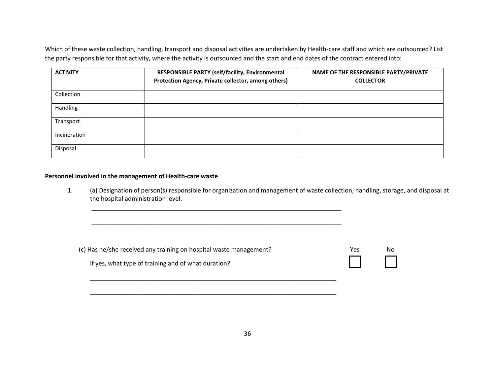Which of these waste collection, handling, transport and disposal activities are undertaken by Health-care staff and which are outsourced? List the party responsible for that activity, where the activity is outsourced and the start and end dates of the contract entered into:

| <b>ACTIVITY</b> | RESPONSIBLE PARTY (self/facility, Environmental<br>Protection Agency, Private collector, among others) | NAME OF THE RESPONSIBLE PARTY/PRIVATE<br><b>COLLECTOR</b> |
|-----------------|--------------------------------------------------------------------------------------------------------|-----------------------------------------------------------|
| Collection      |                                                                                                        |                                                           |
| <b>Handling</b> |                                                                                                        |                                                           |
| Transport       |                                                                                                        |                                                           |
| Incineration    |                                                                                                        |                                                           |
| Disposal        |                                                                                                        |                                                           |

#### **Personnel involved in the management of Health-care waste**

1. (a) Designation of person(s) responsible for organization and management of waste collection, handling, storage, and disposal at the hospital administration level.

| (c) Has he/she received any training on hospital waste management? | Yes.   | Nο |
|--------------------------------------------------------------------|--------|----|
| If yes, what type of training and of what duration?                | $\Box$ |    |

\_\_\_\_\_\_\_\_\_\_\_\_\_\_\_\_\_\_\_\_\_\_\_\_\_\_\_\_\_\_\_\_\_\_\_\_\_\_\_\_\_\_\_\_\_\_\_\_\_\_\_\_\_\_\_\_\_\_\_\_\_\_\_\_\_\_\_\_\_\_\_\_

\_\_\_\_\_\_\_\_\_\_\_\_\_\_\_\_\_\_\_\_\_\_\_\_\_\_\_\_\_\_\_\_\_\_\_\_\_\_\_\_\_\_\_\_\_\_\_\_\_\_\_\_\_\_\_\_\_\_\_\_\_\_\_\_\_\_\_\_\_\_\_\_

\_\_\_\_\_\_\_\_\_\_\_\_\_\_\_\_\_\_\_\_\_\_\_\_\_\_\_\_\_\_\_\_\_\_\_\_\_\_\_\_\_\_\_\_\_\_\_\_\_\_\_\_\_\_\_\_\_\_\_\_\_\_\_\_\_\_\_\_\_\_\_\_\_

\_\_\_\_\_\_\_\_\_\_\_\_\_\_\_\_\_\_\_\_\_\_\_\_\_\_\_\_\_\_\_\_\_\_\_\_\_\_\_\_\_\_\_\_\_\_\_\_\_\_\_\_\_\_\_\_\_\_\_\_\_\_\_\_\_\_\_\_\_\_\_\_\_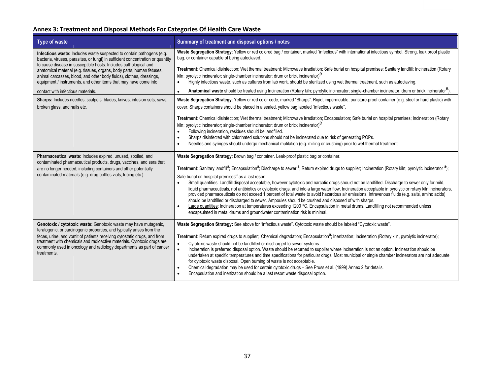## **Annex 3: Treatment and Disposal Methods For Categories Of Health Care Waste**

| Type of waste                                                                                                                                                                                                                                                                                                                                                                                                                                     | Summary of treatment and disposal options / notes                                                                                                                                                                                                                                                                                                                                                                                                                                                                                                                                                                                                                                                                                                                                                                                                                                                                                                                                                                                                                                                                                                                                                     |
|---------------------------------------------------------------------------------------------------------------------------------------------------------------------------------------------------------------------------------------------------------------------------------------------------------------------------------------------------------------------------------------------------------------------------------------------------|-------------------------------------------------------------------------------------------------------------------------------------------------------------------------------------------------------------------------------------------------------------------------------------------------------------------------------------------------------------------------------------------------------------------------------------------------------------------------------------------------------------------------------------------------------------------------------------------------------------------------------------------------------------------------------------------------------------------------------------------------------------------------------------------------------------------------------------------------------------------------------------------------------------------------------------------------------------------------------------------------------------------------------------------------------------------------------------------------------------------------------------------------------------------------------------------------------|
| Infectious waste: Includes waste suspected to contain pathogens (e.g.<br>bacteria, viruses, parasites, or fungi) in sufficient concentration or quantity<br>to cause disease in susceptible hosts. Includes pathological and<br>anatomical material (e.g. tissues, organs, body parts, human fetuses,<br>animal carcasses, blood, and other body fluids), clothes, dressings,<br>equipment / instruments, and other items that may have come into | Waste Segregation Strategy: Yellow or red colored bag / container, marked "infectious" with international infectious symbol. Strong, leak proof plastic<br>bag, or container capable of being autoclaved.                                                                                                                                                                                                                                                                                                                                                                                                                                                                                                                                                                                                                                                                                                                                                                                                                                                                                                                                                                                             |
|                                                                                                                                                                                                                                                                                                                                                                                                                                                   | Treatment: Chemical disinfection; Wet thermal treatment; Microwave irradiation; Safe burial on hospital premises; Sanitary landfill; Incineration (Rotary<br>kiln; pyrolytic incinerator; single-chamber incinerator; drum or brick incinerator) <sup>e</sup><br>Highly infectious waste, such as cultures from lab work, should be sterilized using wet thermal treatment, such as autoclaving.<br>$\bullet$                                                                                                                                                                                                                                                                                                                                                                                                                                                                                                                                                                                                                                                                                                                                                                                         |
| contact with infectious materials.                                                                                                                                                                                                                                                                                                                                                                                                                | Anatomical waste should be treated using Incineration (Rotary kiln; pyrolytic incinerator; single-chamber incinerator; drum or brick incinerator <sup>15</sup> ).<br>$\bullet$                                                                                                                                                                                                                                                                                                                                                                                                                                                                                                                                                                                                                                                                                                                                                                                                                                                                                                                                                                                                                        |
| Sharps: Includes needles, scalpels, blades, knives, infusion sets, saws,<br>broken glass, and nails etc.                                                                                                                                                                                                                                                                                                                                          | Waste Segregation Strategy: Yellow or red color code, marked "Sharps". Rigid, impermeable, puncture-proof container (e.g. steel or hard plastic) with<br>cover. Sharps containers should be placed in a sealed, yellow bag labeled "infectious waste".                                                                                                                                                                                                                                                                                                                                                                                                                                                                                                                                                                                                                                                                                                                                                                                                                                                                                                                                                |
|                                                                                                                                                                                                                                                                                                                                                                                                                                                   | Treatment: Chemical disinfection; Wet thermal treatment; Microwave irradiation; Encapsulation; Safe burial on hospital premises; Incineration (Rotary<br>kiln; pyrolytic incinerator; single-chamber incinerator; drum or brick incinerator) <sup>e</sup><br>Following incineration, residues should be landfilled.                                                                                                                                                                                                                                                                                                                                                                                                                                                                                                                                                                                                                                                                                                                                                                                                                                                                                   |
|                                                                                                                                                                                                                                                                                                                                                                                                                                                   | $\bullet$<br>Sharps disinfected with chlorinated solutions should not be incinerated due to risk of generating POPs.<br>$\bullet$<br>Needles and syringes should undergo mechanical mutilation (e.g. milling or crushing) prior to wet thermal treatment<br>$\bullet$                                                                                                                                                                                                                                                                                                                                                                                                                                                                                                                                                                                                                                                                                                                                                                                                                                                                                                                                 |
| Pharmaceutical waste: Includes expired, unused, spoiled, and<br>contaminated pharmaceutical products, drugs, vaccines, and sera that<br>are no longer needed, including containers and other potentially<br>contaminated materials (e.g. drug bottles vials, tubing etc.).                                                                                                                                                                        | Waste Segregation Strategy: Brown bag / container. Leak-proof plastic bag or container.<br>Treatment: Sanitary landfill <sup>a</sup> ; Encapsulation <sup>a</sup> ; Discharge to sewer <sup>a</sup> ; Return expired drugs to supplier; Incineration (Rotary kiln; pyrolytic incinerator <sup>a</sup> );<br>Safe burial on hospital premises <sup>a</sup> as a last resort.<br>Small quantities: Landfill disposal acceptable, however cytotoxic and narcotic drugs should not be landfilled. Discharge to sewer only for mild,<br>$\bullet$<br>liquid pharmaceuticals, not antibiotics or cytotoxic drugs, and into a large water flow. Incineration acceptable in pyrolytic or rotary kiln incinerators,<br>provided pharmaceuticals do not exceed 1 percent of total waste to avoid hazardous air emissions. Intravenous fluids (e.g. salts, amino acids)<br>should be landfilled or discharged to sewer. Ampoules should be crushed and disposed of with sharps.<br>Large quantities: Incineration at temperatures exceeding 1200 °C. Encapsulation in metal drums. Landfilling not recommended unless<br>$\bullet$<br>encapsulated in metal drums and groundwater contamination risk is minimal. |
| Genotoxic / cytotoxic waste: Genotoxic waste may have mutagenic,<br>teratogenic, or carcinogenic properties, and typically arises from the<br>feces, urine, and vomit of patients receiving cytostatic drugs, and from<br>treatment with chemicals and radioactive materials. Cytotoxic drugs are<br>commonly used in oncology and radiology departments as part of cancer<br>treatments.                                                         | Waste Segregation Strategy: See above for "infectious waste". Cytotoxic waste should be labeled "Cytotoxic waste".<br>Treatment: Return expired drugs to supplier; Chemical degradation; Encapsulation <sup>a</sup> ; Inertization; Incineration (Rotary kiln, pyrolytic incinerator);<br>Cytotoxic waste should not be landfilled or discharged to sewer systems.<br>Incineration is preferred disposal option. Waste should be returned to supplier where incineration is not an option. Incineration should be<br>undertaken at specific temperatures and time specifications for particular drugs. Most municipal or single chamber incinerators are not adequate<br>for cytotoxic waste disposal. Open burning of waste is not acceptable.<br>Chemical degradation may be used for certain cytotoxic drugs - See Pruss et al. (1999) Annex 2 for details.<br>Encapsulation and inertization should be a last resort waste disposal option.<br>$\bullet$                                                                                                                                                                                                                                          |